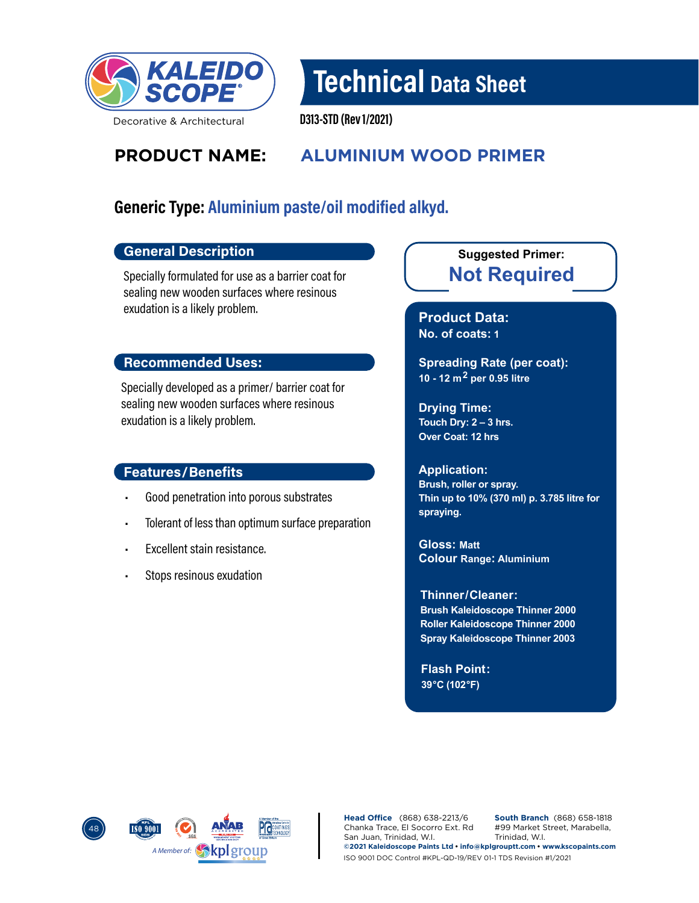

Technical Data Sheet

Decorative & Architectural

D313-STD (Rev 1/2021)

# **PRODUCT NAME: ALUMINIUM WOOD PRIMER**

# Generic Type: Aluminium paste/oil modified alkyd.

#### General Description

Specially formulated for use as a barrier coat for sealing new wooden surfaces where resinous exudation is a likely problem.

#### Recommended Uses:

Specially developed as a primer/ barrier coat for sealing new wooden surfaces where resinous exudation is a likely problem.

#### Features/Benefits

- Good penetration into porous substrates
- Tolerant of less than optimum surface preparation
- Excellent stain resistance.
- Stops resinous exudation

### **Not Required Suggested Primer:**

**Product Data: No. of coats: 1**

**Spreading Rate (per coat): 10 - 12 m2 per 0.95 litre**

**Drying Time: Touch Dry: 2 – 3 hrs. Over Coat: 12 hrs**

#### **Application:**

**Brush, roller or spray. Thin up to 10% (370 ml) p. 3.785 litre for spraying.**

**Gloss: Matt Colour Range: Aluminium**

**Brush Kaleidoscope Thinner 2000 Roller Kaleidoscope Thinner 2000 Spray Kaleidoscope Thinner 2003 Thinner/ Cleaner:** 

**Flash Point: 39°C (102°F)**



**Head Office** (868) 638-2213/6 Chanka Trace, El Socorro Ext. Rd San Juan, Trinidad, W.I. **South Branch** (868) 658-1818 #99 Market Street, Marabella, Trinidad, W.I. **©2021 Kaleidoscope Paints Ltd • info@kplgrouptt.com • www.kscopaints.com** ISO 9001 DOC Control #KPL-QD-19/REV 01-1 TDS Revision #1/2021